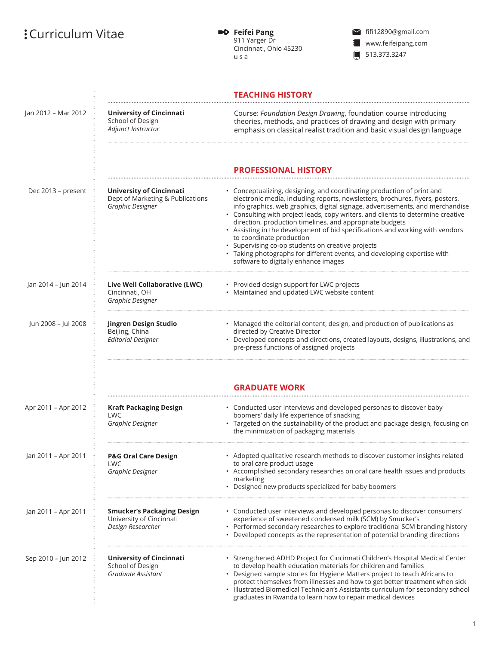## $:$  Curriculum Vitae

**• Feifei Pang**<br>911 Yarger Dr Cincinnati, Ohio 45230 u s a

fifi12890@gmail.com www.feifeipang.com 13.373.3247

|                     |                                                                                         | <b>TEACHING HISTORY</b>                                                                                                                                                                                                                                                                                                                                                                                                                                                                                                                                                                                                                                                        |
|---------------------|-----------------------------------------------------------------------------------------|--------------------------------------------------------------------------------------------------------------------------------------------------------------------------------------------------------------------------------------------------------------------------------------------------------------------------------------------------------------------------------------------------------------------------------------------------------------------------------------------------------------------------------------------------------------------------------------------------------------------------------------------------------------------------------|
| Jan 2012 - Mar 2012 | <b>University of Cincinnati</b><br>School of Design<br>Adjunct Instructor               | Course: Foundation Design Drawing, foundation course introducing<br>theories, methods, and practices of drawing and design with primary<br>emphasis on classical realist tradition and basic visual design language                                                                                                                                                                                                                                                                                                                                                                                                                                                            |
|                     |                                                                                         | <b>PROFESSIONAL HISTORY</b>                                                                                                                                                                                                                                                                                                                                                                                                                                                                                                                                                                                                                                                    |
| Dec 2013 - present  | <b>University of Cincinnati</b><br>Dept of Marketing & Publications<br>Graphic Designer | • Conceptualizing, designing, and coordinating production of print and<br>electronic media, including reports, newsletters, brochures, flyers, posters,<br>info graphics, web graphics, digital signage, advertisements, and merchandise<br>• Consulting with project leads, copy writers, and clients to determine creative<br>direction, production timelines, and appropriate budgets<br>• Assisting in the development of bid specifications and working with vendors<br>to coordinate production<br>• Supervising co-op students on creative projects<br>• Taking photographs for different events, and developing expertise with<br>software to digitally enhance images |
| Jan 2014 - Jun 2014 | Live Well Collaborative (LWC)<br>Cincinnati, OH<br>Graphic Designer                     | • Provided design support for LWC projects<br>• Maintained and updated LWC website content                                                                                                                                                                                                                                                                                                                                                                                                                                                                                                                                                                                     |
| Jun 2008 - Jul 2008 | Jingren Design Studio<br>Beijing, China<br><b>Editorial Designer</b>                    | • Managed the editorial content, design, and production of publications as<br>directed by Creative Director<br>Developed concepts and directions, created layouts, designs, illustrations, and<br>pre-press functions of assigned projects                                                                                                                                                                                                                                                                                                                                                                                                                                     |
|                     |                                                                                         | <b>GRADUATE WORK</b>                                                                                                                                                                                                                                                                                                                                                                                                                                                                                                                                                                                                                                                           |
| Apr 2011 - Apr 2012 | <b>Kraft Packaging Design</b><br><b>LWC</b><br>Graphic Designer                         | • Conducted user interviews and developed personas to discover baby<br>boomers' daily life experience of snacking<br>• Targeted on the sustainability of the product and package design, focusing on<br>the minimization of packaging materials                                                                                                                                                                                                                                                                                                                                                                                                                                |
| Jan 2011 – Apr 2011 | <b>P&amp;G Oral Care Design</b><br>LWC<br>Graphic Designer                              | • Adopted qualitative research methods to discover customer insights related<br>to oral care product usage<br>• Accomplished secondary researches on oral care health issues and products<br>marketing<br>• Designed new products specialized for baby boomers                                                                                                                                                                                                                                                                                                                                                                                                                 |
| Jan 2011 - Apr 2011 | <b>Smucker's Packaging Design</b><br>University of Cincinnati<br>Design Researcher      | • Conducted user interviews and developed personas to discover consumers'<br>experience of sweetened condensed milk (SCM) by Smucker's<br>• Performed secondary researches to explore traditional SCM branding history<br>• Developed concepts as the representation of potential branding directions                                                                                                                                                                                                                                                                                                                                                                          |
| Sep 2010 - Jun 2012 | University of Cincinnati<br>School of Design<br>Graduate Assistant                      | • Strengthened ADHD Project for Cincinnati Children's Hospital Medical Center<br>to develop health education materials for children and families<br>• Designed sample stories for Hygiene Matters project to teach Africans to<br>protect themselves from illnesses and how to get better treatment when sick<br>· Illustrated Biomedical Technician's Assistants curriculum for secondary school<br>graduates in Rwanda to learn how to repair medical devices                                                                                                                                                                                                                |